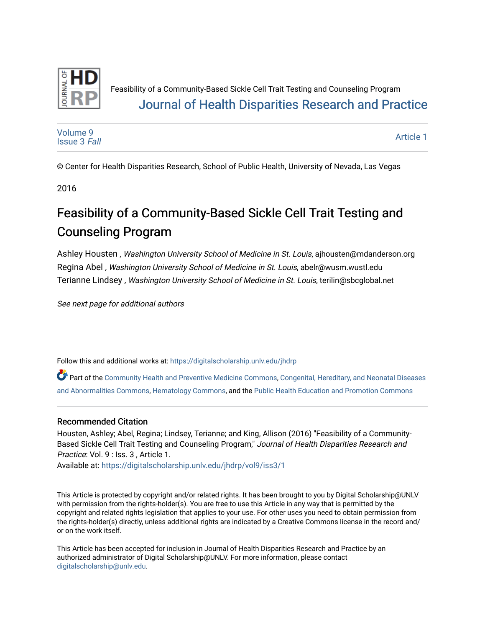

### Feasibility of a Community-Based Sickle Cell Trait Testing and Counseling Program [Journal of Health Disparities Research and Practice](https://digitalscholarship.unlv.edu/jhdrp)

[Volume 9](https://digitalscholarship.unlv.edu/jhdrp/vol9) [Issue 3](https://digitalscholarship.unlv.edu/jhdrp/vol9/iss3) Fall [Article 1](https://digitalscholarship.unlv.edu/jhdrp/vol9/iss3/1) 

© Center for Health Disparities Research, School of Public Health, University of Nevada, Las Vegas

2016

# Feasibility of a Community-Based Sickle Cell Trait Testing and Counseling Program

Ashley Housten , Washington University School of Medicine in St. Louis, ajhousten@mdanderson.org Regina Abel , Washington University School of Medicine in St. Louis, abelr@wusm.wustl.edu Terianne Lindsey , Washington University School of Medicine in St. Louis, terilin@sbcglobal.net

See next page for additional authors

Follow this and additional works at: [https://digitalscholarship.unlv.edu/jhdrp](https://digitalscholarship.unlv.edu/jhdrp?utm_source=digitalscholarship.unlv.edu%2Fjhdrp%2Fvol9%2Fiss3%2F1&utm_medium=PDF&utm_campaign=PDFCoverPages) 

Part of the [Community Health and Preventive Medicine Commons,](http://network.bepress.com/hgg/discipline/744?utm_source=digitalscholarship.unlv.edu%2Fjhdrp%2Fvol9%2Fiss3%2F1&utm_medium=PDF&utm_campaign=PDFCoverPages) Congenital, Hereditary, and Neonatal Diseases [and Abnormalities Commons,](http://network.bepress.com/hgg/discipline/971?utm_source=digitalscholarship.unlv.edu%2Fjhdrp%2Fvol9%2Fiss3%2F1&utm_medium=PDF&utm_campaign=PDFCoverPages) [Hematology Commons,](http://network.bepress.com/hgg/discipline/1059?utm_source=digitalscholarship.unlv.edu%2Fjhdrp%2Fvol9%2Fiss3%2F1&utm_medium=PDF&utm_campaign=PDFCoverPages) and the [Public Health Education and Promotion Commons](http://network.bepress.com/hgg/discipline/743?utm_source=digitalscholarship.unlv.edu%2Fjhdrp%2Fvol9%2Fiss3%2F1&utm_medium=PDF&utm_campaign=PDFCoverPages)

#### Recommended Citation

Housten, Ashley; Abel, Regina; Lindsey, Terianne; and King, Allison (2016) "Feasibility of a Community-Based Sickle Cell Trait Testing and Counseling Program," Journal of Health Disparities Research and Practice: Vol. 9 : Iss. 3 , Article 1.

Available at: [https://digitalscholarship.unlv.edu/jhdrp/vol9/iss3/1](https://digitalscholarship.unlv.edu/jhdrp/vol9/iss3/1?utm_source=digitalscholarship.unlv.edu%2Fjhdrp%2Fvol9%2Fiss3%2F1&utm_medium=PDF&utm_campaign=PDFCoverPages)

This Article is protected by copyright and/or related rights. It has been brought to you by Digital Scholarship@UNLV with permission from the rights-holder(s). You are free to use this Article in any way that is permitted by the copyright and related rights legislation that applies to your use. For other uses you need to obtain permission from the rights-holder(s) directly, unless additional rights are indicated by a Creative Commons license in the record and/ or on the work itself.

This Article has been accepted for inclusion in Journal of Health Disparities Research and Practice by an authorized administrator of Digital Scholarship@UNLV. For more information, please contact [digitalscholarship@unlv.edu](mailto:digitalscholarship@unlv.edu).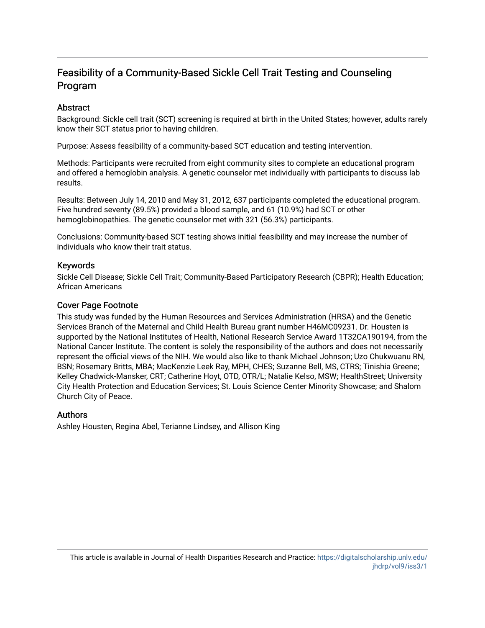#### **Abstract**

Background: Sickle cell trait (SCT) screening is required at birth in the United States; however, adults rarely know their SCT status prior to having children.

Purpose: Assess feasibility of a community-based SCT education and testing intervention.

Methods: Participants were recruited from eight community sites to complete an educational program and offered a hemoglobin analysis. A genetic counselor met individually with participants to discuss lab results.

Results: Between July 14, 2010 and May 31, 2012, 637 participants completed the educational program. Five hundred seventy (89.5%) provided a blood sample, and 61 (10.9%) had SCT or other hemoglobinopathies. The genetic counselor met with 321 (56.3%) participants.

Conclusions: Community-based SCT testing shows initial feasibility and may increase the number of individuals who know their trait status.

#### Keywords

Sickle Cell Disease; Sickle Cell Trait; Community-Based Participatory Research (CBPR); Health Education; African Americans

#### Cover Page Footnote

This study was funded by the Human Resources and Services Administration (HRSA) and the Genetic Services Branch of the Maternal and Child Health Bureau grant number H46MC09231. Dr. Housten is supported by the National Institutes of Health, National Research Service Award 1T32CA190194, from the National Cancer Institute. The content is solely the responsibility of the authors and does not necessarily represent the official views of the NIH. We would also like to thank Michael Johnson; Uzo Chukwuanu RN, BSN; Rosemary Britts, MBA; MacKenzie Leek Ray, MPH, CHES; Suzanne Bell, MS, CTRS; Tinishia Greene; Kelley Chadwick-Mansker, CRT; Catherine Hoyt, OTD, OTR/L; Natalie Kelso, MSW; HealthStreet; University City Health Protection and Education Services; St. Louis Science Center Minority Showcase; and Shalom Church City of Peace.

#### Authors

Ashley Housten, Regina Abel, Terianne Lindsey, and Allison King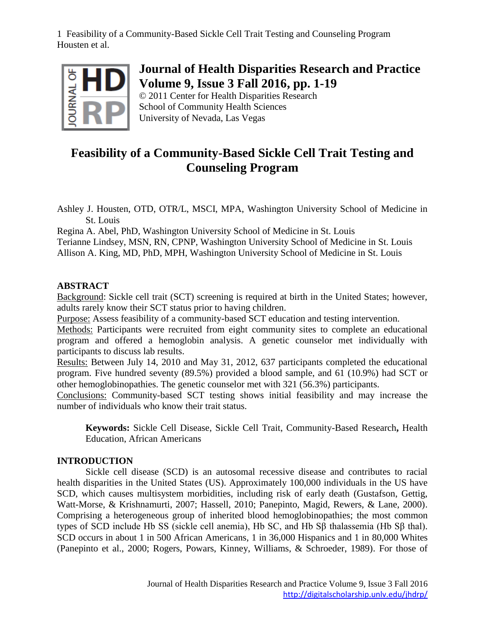

### **Journal of Health Disparities Research and Practice Volume 9, Issue 3 Fall 2016, pp. 1-19**

© 2011 Center for Health Disparities Research School of Community Health Sciences University of Nevada, Las Vegas

## **Feasibility of a Community-Based Sickle Cell Trait Testing and Counseling Program**

Ashley J. Housten, OTD, OTR/L, MSCI, MPA, Washington University School of Medicine in St. Louis

Regina A. Abel, PhD, Washington University School of Medicine in St. Louis Terianne Lindsey, MSN, RN, CPNP, Washington University School of Medicine in St. Louis Allison A. King, MD, PhD, MPH, Washington University School of Medicine in St. Louis

#### **ABSTRACT**

Background: Sickle cell trait (SCT) screening is required at birth in the United States; however, adults rarely know their SCT status prior to having children.

Purpose: Assess feasibility of a community-based SCT education and testing intervention.

Methods: Participants were recruited from eight community sites to complete an educational program and offered a hemoglobin analysis. A genetic counselor met individually with participants to discuss lab results.

Results: Between July 14, 2010 and May 31, 2012, 637 participants completed the educational program. Five hundred seventy (89.5%) provided a blood sample, and 61 (10.9%) had SCT or other hemoglobinopathies. The genetic counselor met with 321 (56.3%) participants.

Conclusions: Community-based SCT testing shows initial feasibility and may increase the number of individuals who know their trait status.

**Keywords:** Sickle Cell Disease, Sickle Cell Trait, Community-Based Research**,** Health Education, African Americans

#### **INTRODUCTION**

Sickle cell disease (SCD) is an autosomal recessive disease and contributes to racial health disparities in the United States (US). Approximately 100,000 individuals in the US have SCD, which causes multisystem morbidities, including risk of early death (Gustafson, Gettig, Watt-Morse, & Krishnamurti, 2007; Hassell, 2010; Panepinto, Magid, Rewers, & Lane, 2000). Comprising a heterogeneous group of inherited blood hemoglobinopathies; the most common types of SCD include Hb SS (sickle cell anemia), Hb SC, and Hb Sβ thalassemia (Hb Sβ thal). SCD occurs in about 1 in 500 African Americans, 1 in 36,000 Hispanics and 1 in 80,000 Whites (Panepinto et al., 2000; Rogers, Powars, Kinney, Williams, & Schroeder, 1989). For those of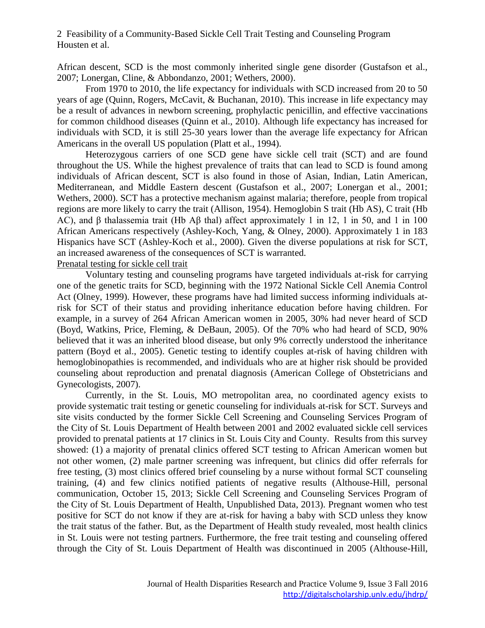African descent, SCD is the most commonly inherited single gene disorder (Gustafson et al., 2007; Lonergan, Cline, & Abbondanzo, 2001; Wethers, 2000).

From 1970 to 2010, the life expectancy for individuals with SCD increased from 20 to 50 years of age (Quinn, Rogers, McCavit, & Buchanan, 2010). This increase in life expectancy may be a result of advances in newborn screening, prophylactic penicillin, and effective vaccinations for common childhood diseases (Quinn et al., 2010). Although life expectancy has increased for individuals with SCD, it is still 25-30 years lower than the average life expectancy for African Americans in the overall US population (Platt et al., 1994).

Heterozygous carriers of one SCD gene have sickle cell trait (SCT) and are found throughout the US. While the highest prevalence of traits that can lead to SCD is found among individuals of African descent, SCT is also found in those of Asian, Indian, Latin American, Mediterranean, and Middle Eastern descent (Gustafson et al., 2007; Lonergan et al., 2001; Wethers, 2000). SCT has a protective mechanism against malaria; therefore, people from tropical regions are more likely to carry the trait (Allison, 1954). Hemoglobin S trait (Hb AS), C trait (Hb AC), and β thalassemia trait (Hb Aβ thal) affect approximately 1 in 12, 1 in 50, and 1 in 100 African Americans respectively (Ashley-Koch, Yang, & Olney, 2000). Approximately 1 in 183 Hispanics have SCT (Ashley-Koch et al., 2000). Given the diverse populations at risk for SCT, an increased awareness of the consequences of SCT is warranted.

#### Prenatal testing for sickle cell trait

Voluntary testing and counseling programs have targeted individuals at-risk for carrying one of the genetic traits for SCD, beginning with the 1972 National Sickle Cell Anemia Control Act (Olney, 1999). However, these programs have had limited success informing individuals atrisk for SCT of their status and providing inheritance education before having children. For example, in a survey of 264 African American women in 2005, 30% had never heard of SCD (Boyd, Watkins, Price, Fleming, & DeBaun, 2005). Of the 70% who had heard of SCD, 90% believed that it was an inherited blood disease, but only 9% correctly understood the inheritance pattern (Boyd et al., 2005). Genetic testing to identify couples at-risk of having children with hemoglobinopathies is recommended, and individuals who are at higher risk should be provided counseling about reproduction and prenatal diagnosis (American College of Obstetricians and Gynecologists, 2007).

Currently, in the St. Louis, MO metropolitan area, no coordinated agency exists to provide systematic trait testing or genetic counseling for individuals at-risk for SCT. Surveys and site visits conducted by the former Sickle Cell Screening and Counseling Services Program of the City of St. Louis Department of Health between 2001 and 2002 evaluated sickle cell services provided to prenatal patients at 17 clinics in St. Louis City and County. Results from this survey showed: (1) a majority of prenatal clinics offered SCT testing to African American women but not other women, (2) male partner screening was infrequent, but clinics did offer referrals for free testing, (3) most clinics offered brief counseling by a nurse without formal SCT counseling training, (4) and few clinics notified patients of negative results (Althouse-Hill, personal communication, October 15, 2013; Sickle Cell Screening and Counseling Services Program of the City of St. Louis Department of Health, Unpublished Data, 2013). Pregnant women who test positive for SCT do not know if they are at-risk for having a baby with SCD unless they know the trait status of the father. But, as the Department of Health study revealed, most health clinics in St. Louis were not testing partners. Furthermore, the free trait testing and counseling offered through the City of St. Louis Department of Health was discontinued in 2005 (Althouse-Hill,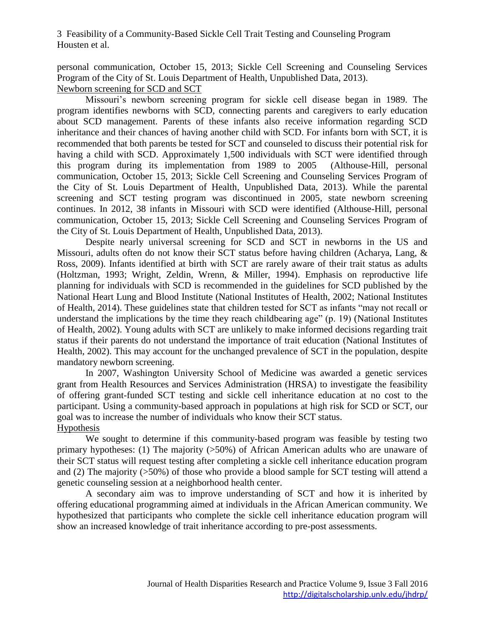personal communication, October 15, 2013; Sickle Cell Screening and Counseling Services Program of the City of St. Louis Department of Health, Unpublished Data, 2013).

Newborn screening for SCD and SCT

Missouri's newborn screening program for sickle cell disease began in 1989. The program identifies newborns with SCD, connecting parents and caregivers to early education about SCD management. Parents of these infants also receive information regarding SCD inheritance and their chances of having another child with SCD. For infants born with SCT, it is recommended that both parents be tested for SCT and counseled to discuss their potential risk for having a child with SCD. Approximately 1,500 individuals with SCT were identified through this program during its implementation from 1989 to 2005 (Althouse-Hill, personal communication, October 15, 2013; Sickle Cell Screening and Counseling Services Program of the City of St. Louis Department of Health, Unpublished Data, 2013). While the parental screening and SCT testing program was discontinued in 2005, state newborn screening continues. In 2012, 38 infants in Missouri with SCD were identified (Althouse-Hill, personal communication, October 15, 2013; Sickle Cell Screening and Counseling Services Program of the City of St. Louis Department of Health, Unpublished Data, 2013).

Despite nearly universal screening for SCD and SCT in newborns in the US and Missouri, adults often do not know their SCT status before having children (Acharya, Lang, & Ross, 2009). Infants identified at birth with SCT are rarely aware of their trait status as adults (Holtzman, 1993; Wright, Zeldin, Wrenn, & Miller, 1994). Emphasis on reproductive life planning for individuals with SCD is recommended in the guidelines for SCD published by the National Heart Lung and Blood Institute (National Institutes of Health, 2002; National Institutes of Health, 2014). These guidelines state that children tested for SCT as infants "may not recall or understand the implications by the time they reach childbearing age" (p. 19) (National Institutes of Health, 2002). Young adults with SCT are unlikely to make informed decisions regarding trait status if their parents do not understand the importance of trait education (National Institutes of Health, 2002). This may account for the unchanged prevalence of SCT in the population, despite mandatory newborn screening.

In 2007, Washington University School of Medicine was awarded a genetic services grant from Health Resources and Services Administration (HRSA) to investigate the feasibility of offering grant-funded SCT testing and sickle cell inheritance education at no cost to the participant. Using a community-based approach in populations at high risk for SCD or SCT, our goal was to increase the number of individuals who know their SCT status. Hypothesis

We sought to determine if this community-based program was feasible by testing two primary hypotheses: (1) The majority (>50%) of African American adults who are unaware of their SCT status will request testing after completing a sickle cell inheritance education program and (2) The majority (>50%) of those who provide a blood sample for SCT testing will attend a genetic counseling session at a neighborhood health center.

A secondary aim was to improve understanding of SCT and how it is inherited by offering educational programming aimed at individuals in the African American community. We hypothesized that participants who complete the sickle cell inheritance education program will show an increased knowledge of trait inheritance according to pre-post assessments.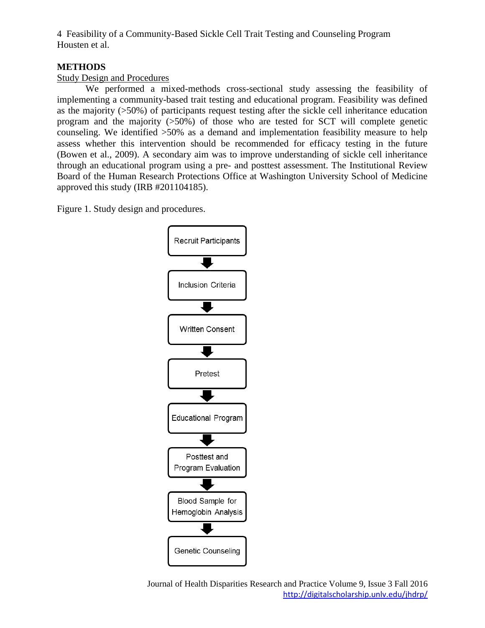#### **METHODS**

#### Study Design and Procedures

We performed a mixed-methods cross-sectional study assessing the feasibility of implementing a community-based trait testing and educational program. Feasibility was defined as the majority (>50%) of participants request testing after the sickle cell inheritance education program and the majority  $(50\%)$  of those who are tested for SCT will complete genetic counseling. We identified >50% as a demand and implementation feasibility measure to help assess whether this intervention should be recommended for efficacy testing in the future (Bowen et al., 2009). A secondary aim was to improve understanding of sickle cell inheritance through an educational program using a pre- and posttest assessment. The Institutional Review Board of the Human Research Protections Office at Washington University School of Medicine approved this study (IRB #201104185).

Figure 1. Study design and procedures.



Journal of Health Disparities Research and Practice Volume 9, Issue 3 Fall 2016 <http://digitalscholarship.unlv.edu/jhdrp/>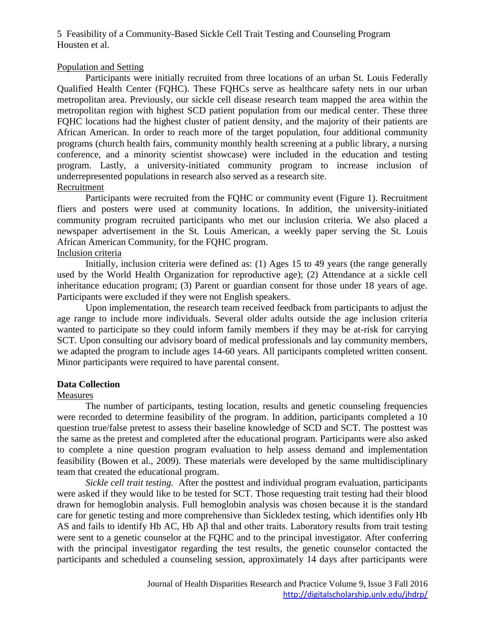#### Population and Setting

Participants were initially recruited from three locations of an urban St. Louis Federally Qualified Health Center (FQHC). These FQHCs serve as healthcare safety nets in our urban metropolitan area. Previously, our sickle cell disease research team mapped the area within the metropolitan region with highest SCD patient population from our medical center. These three FQHC locations had the highest cluster of patient density, and the majority of their patients are African American. In order to reach more of the target population, four additional community programs (church health fairs, community monthly health screening at a public library, a nursing conference, and a minority scientist showcase) were included in the education and testing program. Lastly, a university-initiated community program to increase inclusion of underrepresented populations in research also served as a research site. Recruitment

Participants were recruited from the FQHC or community event (Figure 1). Recruitment fliers and posters were used at community locations. In addition, the university-initiated community program recruited participants who met our inclusion criteria. We also placed a newspaper advertisement in the St. Louis American, a weekly paper serving the St. Louis African American Community, for the FQHC program.

#### Inclusion criteria

Initially, inclusion criteria were defined as: (1) Ages 15 to 49 years (the range generally used by the World Health Organization for reproductive age); (2) Attendance at a sickle cell inheritance education program; (3) Parent or guardian consent for those under 18 years of age. Participants were excluded if they were not English speakers.

Upon implementation, the research team received feedback from participants to adjust the age range to include more individuals. Several older adults outside the age inclusion criteria wanted to participate so they could inform family members if they may be at-risk for carrying SCT. Upon consulting our advisory board of medical professionals and lay community members, we adapted the program to include ages 14-60 years. All participants completed written consent. Minor participants were required to have parental consent.

#### **Data Collection**

#### Measures

The number of participants, testing location, results and genetic counseling frequencies were recorded to determine feasibility of the program. In addition, participants completed a 10 question true/false pretest to assess their baseline knowledge of SCD and SCT. The posttest was the same as the pretest and completed after the educational program. Participants were also asked to complete a nine question program evaluation to help assess demand and implementation feasibility (Bowen et al., 2009). These materials were developed by the same multidisciplinary team that created the educational program.

*Sickle cell trait testing.* After the posttest and individual program evaluation, participants were asked if they would like to be tested for SCT. Those requesting trait testing had their blood drawn for hemoglobin analysis. Full hemoglobin analysis was chosen because it is the standard care for genetic testing and more comprehensive than Sickledex testing, which identifies only Hb AS and fails to identify Hb AC, Hb Aβ thal and other traits. Laboratory results from trait testing were sent to a genetic counselor at the FQHC and to the principal investigator. After conferring with the principal investigator regarding the test results, the genetic counselor contacted the participants and scheduled a counseling session, approximately 14 days after participants were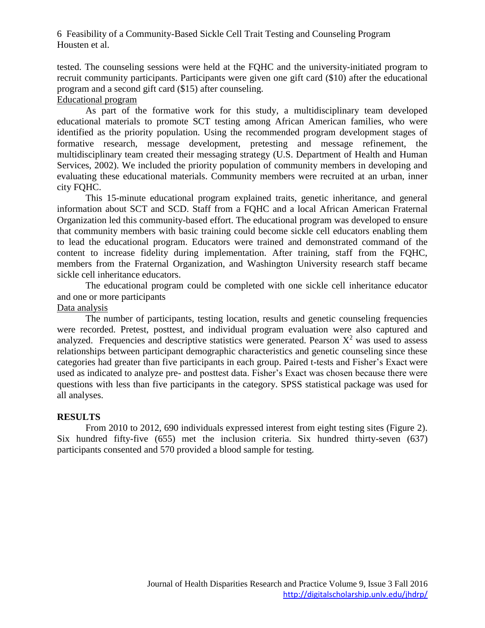tested. The counseling sessions were held at the FQHC and the university-initiated program to recruit community participants. Participants were given one gift card (\$10) after the educational program and a second gift card (\$15) after counseling.

#### Educational program

As part of the formative work for this study, a multidisciplinary team developed educational materials to promote SCT testing among African American families, who were identified as the priority population. Using the recommended program development stages of formative research, message development, pretesting and message refinement, the multidisciplinary team created their messaging strategy (U.S. Department of Health and Human Services, 2002). We included the priority population of community members in developing and evaluating these educational materials. Community members were recruited at an urban, inner city FQHC.

This 15-minute educational program explained traits, genetic inheritance, and general information about SCT and SCD. Staff from a FQHC and a local African American Fraternal Organization led this community-based effort. The educational program was developed to ensure that community members with basic training could become sickle cell educators enabling them to lead the educational program. Educators were trained and demonstrated command of the content to increase fidelity during implementation. After training, staff from the FQHC, members from the Fraternal Organization, and Washington University research staff became sickle cell inheritance educators.

The educational program could be completed with one sickle cell inheritance educator and one or more participants

#### Data analysis

The number of participants, testing location, results and genetic counseling frequencies were recorded. Pretest, posttest, and individual program evaluation were also captured and analyzed. Frequencies and descriptive statistics were generated. Pearson  $X^2$  was used to assess relationships between participant demographic characteristics and genetic counseling since these categories had greater than five participants in each group. Paired t-tests and Fisher's Exact were used as indicated to analyze pre- and posttest data. Fisher's Exact was chosen because there were questions with less than five participants in the category. SPSS statistical package was used for all analyses.

#### **RESULTS**

From 2010 to 2012, 690 individuals expressed interest from eight testing sites (Figure 2). Six hundred fifty-five (655) met the inclusion criteria. Six hundred thirty-seven (637) participants consented and 570 provided a blood sample for testing.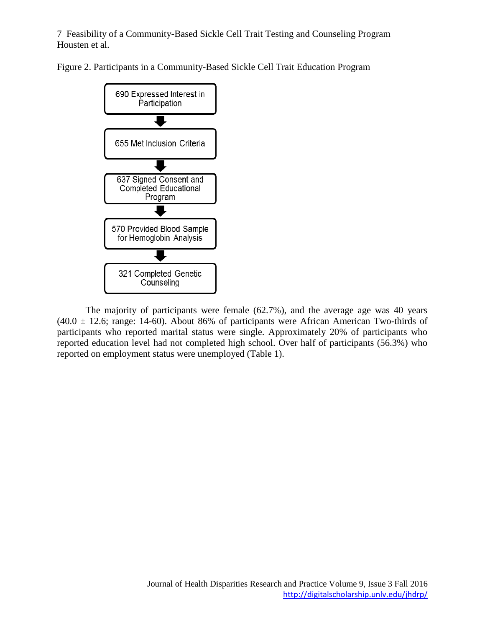Figure 2. Participants in a Community-Based Sickle Cell Trait Education Program



The majority of participants were female (62.7%), and the average age was 40 years  $(40.0 \pm 12.6;$  range: 14-60). About 86% of participants were African American Two-thirds of participants who reported marital status were single. Approximately 20% of participants who reported education level had not completed high school. Over half of participants (56.3%) who reported on employment status were unemployed (Table 1).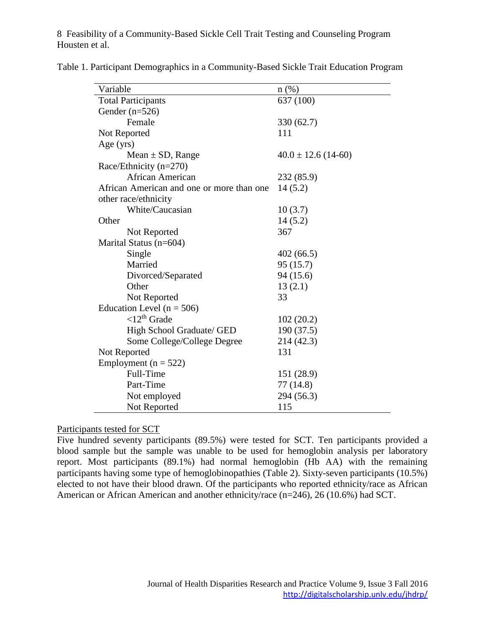| Variable                                  | $n(\%)$                 |
|-------------------------------------------|-------------------------|
| <b>Total Participants</b>                 | 637 (100)               |
| Gender $(n=526)$                          |                         |
| Female                                    | 330(62.7)               |
| Not Reported                              | 111                     |
| Age $(yrs)$                               |                         |
| Mean $\pm$ SD, Range                      | $40.0 \pm 12.6$ (14-60) |
| Race/Ethnicity $(n=270)$                  |                         |
| African American                          | 232 (85.9)              |
| African American and one or more than one | 14(5.2)                 |
| other race/ethnicity                      |                         |
| White/Caucasian                           | 10(3.7)                 |
| Other                                     | 14(5.2)                 |
| Not Reported                              | 367                     |
| Marital Status (n=604)                    |                         |
| Single                                    | 402(66.5)               |
| Married                                   | 95(15.7)                |
| Divorced/Separated                        | 94 (15.6)               |
| Other                                     | 13(2.1)                 |
| Not Reported                              | 33                      |
| Education Level ( $n = 506$ )             |                         |
| $<$ 12 <sup>th</sup> Grade                | 102(20.2)               |
| High School Graduate/ GED                 | 190 (37.5)              |
| Some College/College Degree               | 214 (42.3)              |
| Not Reported                              | 131                     |
| Employment ( $n = 522$ )                  |                         |
| Full-Time                                 | 151 (28.9)              |
| Part-Time                                 | 77 (14.8)               |
| Not employed                              | 294 (56.3)              |
| Not Reported                              | 115                     |

Table 1. Participant Demographics in a Community-Based Sickle Trait Education Program

#### Participants tested for SCT

Five hundred seventy participants (89.5%) were tested for SCT. Ten participants provided a blood sample but the sample was unable to be used for hemoglobin analysis per laboratory report. Most participants (89.1%) had normal hemoglobin (Hb AA) with the remaining participants having some type of hemoglobinopathies (Table 2). Sixty-seven participants (10.5%) elected to not have their blood drawn. Of the participants who reported ethnicity/race as African American or African American and another ethnicity/race (n=246), 26 (10.6%) had SCT.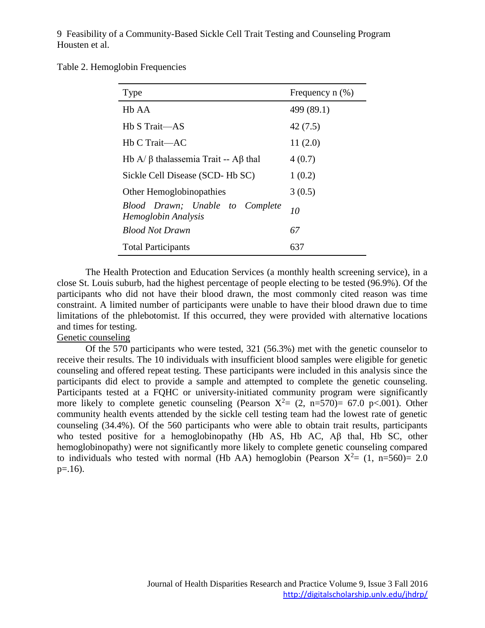Table 2. Hemoglobin Frequencies

| Type                                                   | Frequency $n$ $(\%)$ |
|--------------------------------------------------------|----------------------|
| H <sub>b</sub> A <sub>A</sub>                          | 499 (89.1)           |
| Hb S Trait—AS                                          | 42(7.5)              |
| Hb C Trait-AC                                          | 11(2.0)              |
| Hb A/ $\beta$ thalassemia Trait -- Aβ thal             | 4(0.7)               |
| Sickle Cell Disease (SCD-Hb SC)                        | 1(0.2)               |
| Other Hemoglobinopathies                               | 3(0.5)               |
| Blood Drawn; Unable to Complete<br>Hemoglobin Analysis | 10                   |
| <b>Blood Not Drawn</b>                                 | 67                   |
| <b>Total Participants</b>                              | 637                  |

The Health Protection and Education Services (a monthly health screening service), in a close St. Louis suburb, had the highest percentage of people electing to be tested (96.9%). Of the participants who did not have their blood drawn, the most commonly cited reason was time constraint. A limited number of participants were unable to have their blood drawn due to time limitations of the phlebotomist. If this occurred, they were provided with alternative locations and times for testing.

#### Genetic counseling

Of the 570 participants who were tested, 321 (56.3%) met with the genetic counselor to receive their results. The 10 individuals with insufficient blood samples were eligible for genetic counseling and offered repeat testing. These participants were included in this analysis since the participants did elect to provide a sample and attempted to complete the genetic counseling. Participants tested at a FQHC or university-initiated community program were significantly more likely to complete genetic counseling (Pearson  $X^2 = (2, n=570) = 67.0 \text{ p} < 0.001$ ). Other community health events attended by the sickle cell testing team had the lowest rate of genetic counseling (34.4%). Of the 560 participants who were able to obtain trait results, participants who tested positive for a hemoglobinopathy (Hb AS, Hb AC, Aβ thal, Hb SC, other hemoglobinopathy) were not significantly more likely to complete genetic counseling compared to individuals who tested with normal (Hb AA) hemoglobin (Pearson  $X^2 = (1, n=560) = 2.0$  $p=16$ ).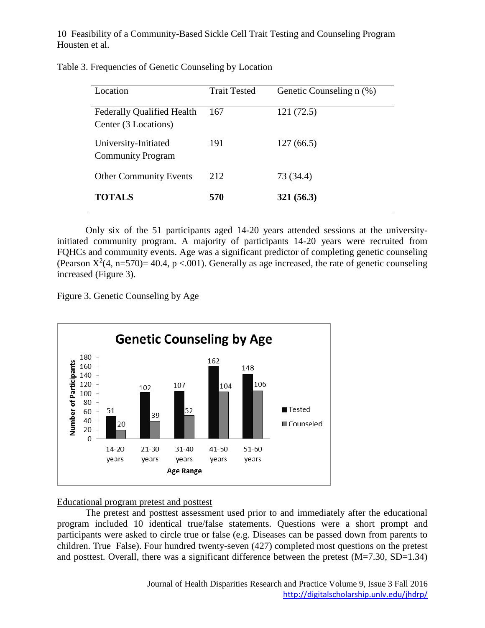| Location                                                  | <b>Trait Tested</b> | Genetic Counseling n (%) |
|-----------------------------------------------------------|---------------------|--------------------------|
| <b>Federally Qualified Health</b><br>Center (3 Locations) | 167                 | 121(72.5)                |
| University-Initiated<br><b>Community Program</b>          | 191                 | 127(66.5)                |
| <b>Other Community Events</b>                             | 2.12                | 73 (34.4)                |
| <b>TOTALS</b>                                             | 570                 | 321(56.3)                |

Only six of the 51 participants aged 14-20 years attended sessions at the universityinitiated community program. A majority of participants 14-20 years were recruited from FQHCs and community events. Age was a significant predictor of completing genetic counseling (Pearson  $X^2(4, n=570) = 40.4$ , p <.001). Generally as age increased, the rate of genetic counseling increased (Figure 3).

Figure 3. Genetic Counseling by Age



#### Educational program pretest and posttest

The pretest and posttest assessment used prior to and immediately after the educational program included 10 identical true/false statements. Questions were a short prompt and participants were asked to circle true or false (e.g. Diseases can be passed down from parents to children. True False). Four hundred twenty-seven (427) completed most questions on the pretest and posttest. Overall, there was a significant difference between the pretest (M=7.30, SD=1.34)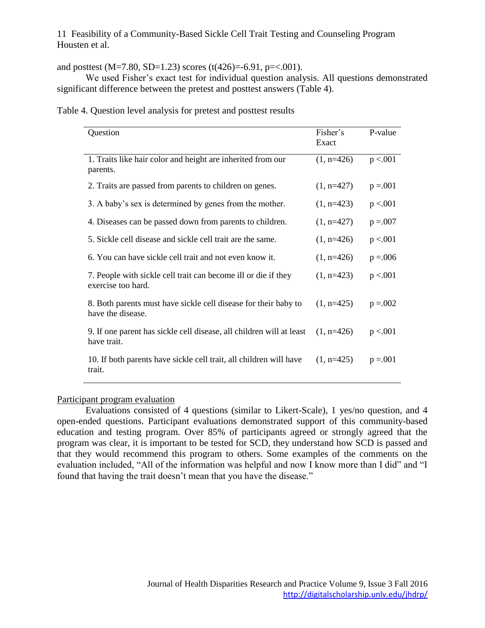and posttest (M=7.80, SD=1.23) scores (t(426)=-6.91, p=<.001).

We used Fisher's exact test for individual question analysis. All questions demonstrated significant difference between the pretest and posttest answers (Table 4).

| Table 4. Question level analysis for pretest and posttest results |  |  |
|-------------------------------------------------------------------|--|--|
|                                                                   |  |  |

| Question                                                                             | Fisher's<br>Exact | P-value     |
|--------------------------------------------------------------------------------------|-------------------|-------------|
| 1. Traits like hair color and height are inherited from our<br>parents.              | $(1, n=426)$      | p < 0.001   |
| 2. Traits are passed from parents to children on genes.                              | $(1, n=427)$      | $p = 0.001$ |
| 3. A baby's sex is determined by genes from the mother.                              | $(1, n=423)$      | p < .001    |
| 4. Diseases can be passed down from parents to children.                             | $(1, n=427)$      | $p = 0.007$ |
| 5. Sickle cell disease and sickle cell trait are the same.                           | $(1, n=426)$      | p < 0.001   |
| 6. You can have sickle cell trait and not even know it.                              | $(1, n=426)$      | $p = 0.006$ |
| 7. People with sickle cell trait can become ill or die if they<br>exercise too hard. | $(1, n=423)$      | p < 0.001   |
| 8. Both parents must have sickle cell disease for their baby to<br>have the disease. | $(1, n=425)$      | $p = 0.002$ |
| 9. If one parent has sickle cell disease, all children will at least<br>have trait.  | $(1, n=426)$      | p < .001    |
| 10. If both parents have sickle cell trait, all children will have<br>trait.         | $(1, n=425)$      | $p = 0.001$ |

#### Participant program evaluation

Evaluations consisted of 4 questions (similar to Likert-Scale), 1 yes/no question, and 4 open-ended questions. Participant evaluations demonstrated support of this community-based education and testing program. Over 85% of participants agreed or strongly agreed that the program was clear, it is important to be tested for SCD, they understand how SCD is passed and that they would recommend this program to others. Some examples of the comments on the evaluation included, "All of the information was helpful and now I know more than I did" and "I found that having the trait doesn't mean that you have the disease."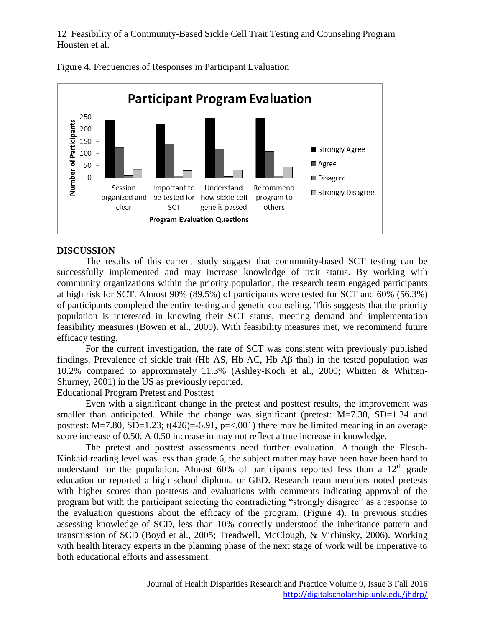

Figure 4. Frequencies of Responses in Participant Evaluation

#### **DISCUSSION**

The results of this current study suggest that community-based SCT testing can be successfully implemented and may increase knowledge of trait status. By working with community organizations within the priority population, the research team engaged participants at high risk for SCT. Almost 90% (89.5%) of participants were tested for SCT and 60% (56.3%) of participants completed the entire testing and genetic counseling. This suggests that the priority population is interested in knowing their SCT status, meeting demand and implementation feasibility measures (Bowen et al., 2009). With feasibility measures met, we recommend future efficacy testing.

For the current investigation, the rate of SCT was consistent with previously published findings. Prevalence of sickle trait (Hb AS, Hb AC, Hb Aβ thal) in the tested population was 10.2% compared to approximately 11.3% (Ashley-Koch et al., 2000; Whitten & Whitten-Shurney, 2001) in the US as previously reported.

#### Educational Program Pretest and Posttest

Even with a significant change in the pretest and posttest results, the improvement was smaller than anticipated. While the change was significant (pretest:  $M=7.30$ ,  $SD=1.34$  and posttest: M=7.80, SD=1.23; t(426)=-6.91, p=<.001) there may be limited meaning in an average score increase of 0.50. A 0.50 increase in may not reflect a true increase in knowledge.

The pretest and posttest assessments need further evaluation. Although the Flesch-Kinkaid reading level was less than grade 6, the subject matter may have been have been hard to understand for the population. Almost  $60\%$  of participants reported less than a  $12<sup>th</sup>$  grade education or reported a high school diploma or GED. Research team members noted pretests with higher scores than posttests and evaluations with comments indicating approval of the program but with the participant selecting the contradicting "strongly disagree" as a response to the evaluation questions about the efficacy of the program. (Figure 4). In previous studies assessing knowledge of SCD, less than 10% correctly understood the inheritance pattern and transmission of SCD (Boyd et al., 2005; Treadwell, McClough, & Vichinsky, 2006). Working with health literacy experts in the planning phase of the next stage of work will be imperative to both educational efforts and assessment.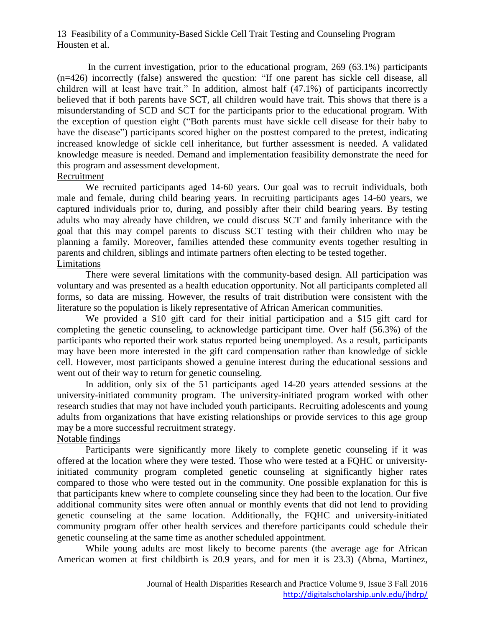In the current investigation, prior to the educational program, 269 (63.1%) participants (n=426) incorrectly (false) answered the question: "If one parent has sickle cell disease, all children will at least have trait." In addition, almost half (47.1%) of participants incorrectly believed that if both parents have SCT, all children would have trait. This shows that there is a misunderstanding of SCD and SCT for the participants prior to the educational program. With the exception of question eight ("Both parents must have sickle cell disease for their baby to have the disease") participants scored higher on the posttest compared to the pretest, indicating increased knowledge of sickle cell inheritance, but further assessment is needed. A validated knowledge measure is needed. Demand and implementation feasibility demonstrate the need for this program and assessment development.

#### Recruitment

We recruited participants aged 14-60 years. Our goal was to recruit individuals, both male and female, during child bearing years. In recruiting participants ages 14-60 years, we captured individuals prior to, during, and possibly after their child bearing years. By testing adults who may already have children, we could discuss SCT and family inheritance with the goal that this may compel parents to discuss SCT testing with their children who may be planning a family. Moreover, families attended these community events together resulting in parents and children, siblings and intimate partners often electing to be tested together. Limitations

There were several limitations with the community-based design. All participation was voluntary and was presented as a health education opportunity. Not all participants completed all forms, so data are missing. However, the results of trait distribution were consistent with the literature so the population is likely representative of African American communities.

We provided a \$10 gift card for their initial participation and a \$15 gift card for completing the genetic counseling, to acknowledge participant time. Over half (56.3%) of the participants who reported their work status reported being unemployed. As a result, participants may have been more interested in the gift card compensation rather than knowledge of sickle cell. However, most participants showed a genuine interest during the educational sessions and went out of their way to return for genetic counseling.

In addition, only six of the 51 participants aged 14-20 years attended sessions at the university-initiated community program. The university-initiated program worked with other research studies that may not have included youth participants. Recruiting adolescents and young adults from organizations that have existing relationships or provide services to this age group may be a more successful recruitment strategy.

#### Notable findings

Participants were significantly more likely to complete genetic counseling if it was offered at the location where they were tested. Those who were tested at a FQHC or universityinitiated community program completed genetic counseling at significantly higher rates compared to those who were tested out in the community. One possible explanation for this is that participants knew where to complete counseling since they had been to the location. Our five additional community sites were often annual or monthly events that did not lend to providing genetic counseling at the same location. Additionally, the FQHC and university-initiated community program offer other health services and therefore participants could schedule their genetic counseling at the same time as another scheduled appointment.

While young adults are most likely to become parents (the average age for African American women at first childbirth is 20.9 years, and for men it is 23.3) (Abma, Martinez,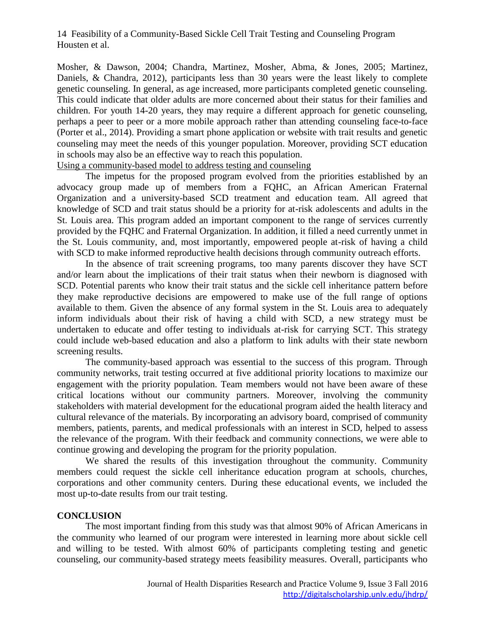Mosher, & Dawson, 2004; Chandra, Martinez, Mosher, Abma, & Jones, 2005; Martinez, Daniels, & Chandra, 2012), participants less than 30 years were the least likely to complete genetic counseling. In general, as age increased, more participants completed genetic counseling. This could indicate that older adults are more concerned about their status for their families and children. For youth 14-20 years, they may require a different approach for genetic counseling, perhaps a peer to peer or a more mobile approach rather than attending counseling face-to-face (Porter et al., 2014). Providing a smart phone application or website with trait results and genetic counseling may meet the needs of this younger population. Moreover, providing SCT education in schools may also be an effective way to reach this population.

Using a community-based model to address testing and counseling

The impetus for the proposed program evolved from the priorities established by an advocacy group made up of members from a FQHC, an African American Fraternal Organization and a university-based SCD treatment and education team. All agreed that knowledge of SCD and trait status should be a priority for at-risk adolescents and adults in the St. Louis area. This program added an important component to the range of services currently provided by the FQHC and Fraternal Organization. In addition, it filled a need currently unmet in the St. Louis community, and, most importantly, empowered people at-risk of having a child with SCD to make informed reproductive health decisions through community outreach efforts.

In the absence of trait screening programs, too many parents discover they have SCT and/or learn about the implications of their trait status when their newborn is diagnosed with SCD. Potential parents who know their trait status and the sickle cell inheritance pattern before they make reproductive decisions are empowered to make use of the full range of options available to them. Given the absence of any formal system in the St. Louis area to adequately inform individuals about their risk of having a child with SCD, a new strategy must be undertaken to educate and offer testing to individuals at-risk for carrying SCT. This strategy could include web-based education and also a platform to link adults with their state newborn screening results.

The community-based approach was essential to the success of this program. Through community networks, trait testing occurred at five additional priority locations to maximize our engagement with the priority population. Team members would not have been aware of these critical locations without our community partners. Moreover, involving the community stakeholders with material development for the educational program aided the health literacy and cultural relevance of the materials. By incorporating an advisory board, comprised of community members, patients, parents, and medical professionals with an interest in SCD, helped to assess the relevance of the program. With their feedback and community connections, we were able to continue growing and developing the program for the priority population.

We shared the results of this investigation throughout the community. Community members could request the sickle cell inheritance education program at schools, churches, corporations and other community centers. During these educational events, we included the most up-to-date results from our trait testing.

#### **CONCLUSION**

The most important finding from this study was that almost 90% of African Americans in the community who learned of our program were interested in learning more about sickle cell and willing to be tested. With almost 60% of participants completing testing and genetic counseling, our community-based strategy meets feasibility measures. Overall, participants who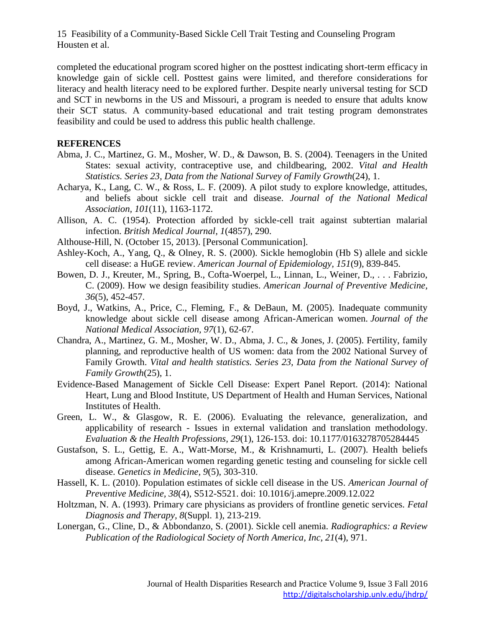completed the educational program scored higher on the posttest indicating short-term efficacy in knowledge gain of sickle cell. Posttest gains were limited, and therefore considerations for literacy and health literacy need to be explored further. Despite nearly universal testing for SCD and SCT in newborns in the US and Missouri, a program is needed to ensure that adults know their SCT status. A community-based educational and trait testing program demonstrates feasibility and could be used to address this public health challenge.

#### **REFERENCES**

- Abma, J. C., Martinez, G. M., Mosher, W. D., & Dawson, B. S. (2004). Teenagers in the United States: sexual activity, contraceptive use, and childbearing, 2002. *Vital and Health Statistics. Series 23, Data from the National Survey of Family Growth*(24), 1.
- Acharya, K., Lang, C. W., & Ross, L. F. (2009). A pilot study to explore knowledge, attitudes, and beliefs about sickle cell trait and disease. *Journal of the National Medical Association, 101*(11), 1163-1172.
- Allison, A. C. (1954). Protection afforded by sickle-cell trait against subtertian malarial infection. *British Medical Journal, 1*(4857), 290.
- Althouse-Hill, N. (October 15, 2013). [Personal Communication].
- Ashley-Koch, A., Yang, Q., & Olney, R. S. (2000). Sickle hemoglobin (Hb S) allele and sickle cell disease: a HuGE review. *American Journal of Epidemiology, 151*(9), 839-845.
- Bowen, D. J., Kreuter, M., Spring, B., Cofta-Woerpel, L., Linnan, L., Weiner, D., . . . Fabrizio, C. (2009). How we design feasibility studies. *American Journal of Preventive Medicine, 36*(5), 452-457.
- Boyd, J., Watkins, A., Price, C., Fleming, F., & DeBaun, M. (2005). Inadequate community knowledge about sickle cell disease among African-American women. *Journal of the National Medical Association, 97*(1), 62-67.
- Chandra, A., Martinez, G. M., Mosher, W. D., Abma, J. C., & Jones, J. (2005). Fertility, family planning, and reproductive health of US women: data from the 2002 National Survey of Family Growth. *Vital and health statistics. Series 23, Data from the National Survey of Family Growth*(25), 1.
- Evidence-Based Management of Sickle Cell Disease: Expert Panel Report. (2014): National Heart, Lung and Blood Institute, US Department of Health and Human Services, National Institutes of Health.
- Green, L. W., & Glasgow, R. E. (2006). Evaluating the relevance, generalization, and applicability of research - Issues in external validation and translation methodology. *Evaluation & the Health Professions, 29*(1), 126-153. doi: 10.1177/0163278705284445
- Gustafson, S. L., Gettig, E. A., Watt-Morse, M., & Krishnamurti, L. (2007). Health beliefs among African-American women regarding genetic testing and counseling for sickle cell disease. *Genetics in Medicine, 9*(5), 303-310.
- Hassell, K. L. (2010). Population estimates of sickle cell disease in the US. *American Journal of Preventive Medicine, 38*(4), S512-S521. doi: 10.1016/j.amepre.2009.12.022
- Holtzman, N. A. (1993). Primary care physicians as providers of frontline genetic services. *Fetal Diagnosis and Therapy, 8*(Suppl. 1), 213-219.
- Lonergan, G., Cline, D., & Abbondanzo, S. (2001). Sickle cell anemia. *Radiographics: a Review Publication of the Radiological Society of North America, Inc, 21*(4), 971.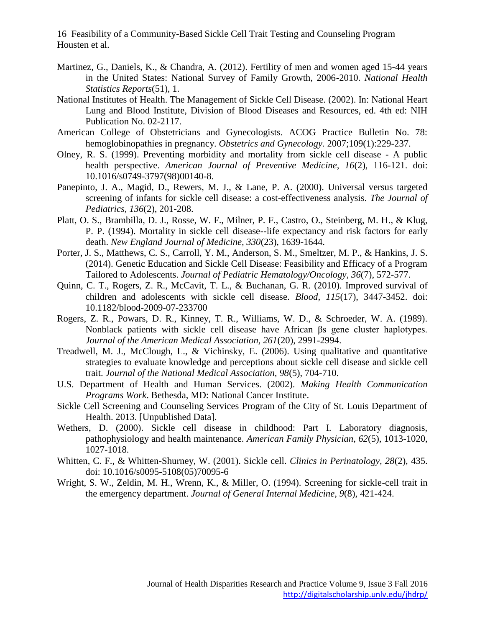- Martinez, G., Daniels, K., & Chandra, A. (2012). Fertility of men and women aged 15-44 years in the United States: National Survey of Family Growth, 2006-2010. *National Health Statistics Reports*(51), 1.
- National Institutes of Health. The Management of Sickle Cell Disease. (2002). In: National Heart Lung and Blood Institute, Division of Blood Diseases and Resources, ed. 4th ed: NIH Publication No. 02-2117.
- American College of Obstetricians and Gynecologists. ACOG Practice Bulletin No. 78: hemoglobinopathies in pregnancy. *Obstetrics and Gynecology.* 2007;109(1):229-237.
- Olney, R. S. (1999). Preventing morbidity and mortality from sickle cell disease A public health perspective. *American Journal of Preventive Medicine, 16*(2), 116-121. doi: 10.1016/s0749-3797(98)00140-8.
- Panepinto, J. A., Magid, D., Rewers, M. J., & Lane, P. A. (2000). Universal versus targeted screening of infants for sickle cell disease: a cost-effectiveness analysis. *The Journal of Pediatrics, 136*(2), 201-208.
- Platt, O. S., Brambilla, D. J., Rosse, W. F., Milner, P. F., Castro, O., Steinberg, M. H., & Klug, P. P. (1994). Mortality in sickle cell disease--life expectancy and risk factors for early death. *New England Journal of Medicine, 330*(23), 1639-1644.
- Porter, J. S., Matthews, C. S., Carroll, Y. M., Anderson, S. M., Smeltzer, M. P., & Hankins, J. S. (2014). Genetic Education and Sickle Cell Disease: Feasibility and Efficacy of a Program Tailored to Adolescents. *Journal of Pediatric Hematology/Oncology, 36*(7), 572-577.
- Quinn, C. T., Rogers, Z. R., McCavit, T. L., & Buchanan, G. R. (2010). Improved survival of children and adolescents with sickle cell disease. *Blood, 115*(17), 3447-3452. doi: 10.1182/blood-2009-07-233700
- Rogers, Z. R., Powars, D. R., Kinney, T. R., Williams, W. D., & Schroeder, W. A. (1989). Nonblack patients with sickle cell disease have African βs gene cluster haplotypes. *Journal of the American Medical Association, 261*(20), 2991-2994.
- Treadwell, M. J., McClough, L., & Vichinsky, E. (2006). Using qualitative and quantitative strategies to evaluate knowledge and perceptions about sickle cell disease and sickle cell trait. *Journal of the National Medical Association, 98*(5), 704-710.
- U.S. Department of Health and Human Services. (2002). *Making Health Communication Programs Work*. Bethesda, MD: National Cancer Institute.
- Sickle Cell Screening and Counseling Services Program of the City of St. Louis Department of Health. 2013. [Unpublished Data].
- Wethers, D. (2000). Sickle cell disease in childhood: Part I. Laboratory diagnosis, pathophysiology and health maintenance. *American Family Physician, 62*(5), 1013-1020, 1027-1018.
- Whitten, C. F., & Whitten-Shurney, W. (2001). Sickle cell. *Clinics in Perinatology, 28*(2), 435. doi: 10.1016/s0095-5108(05)70095-6
- Wright, S. W., Zeldin, M. H., Wrenn, K., & Miller, O. (1994). Screening for sickle-cell trait in the emergency department. *Journal of General Internal Medicine, 9*(8), 421-424.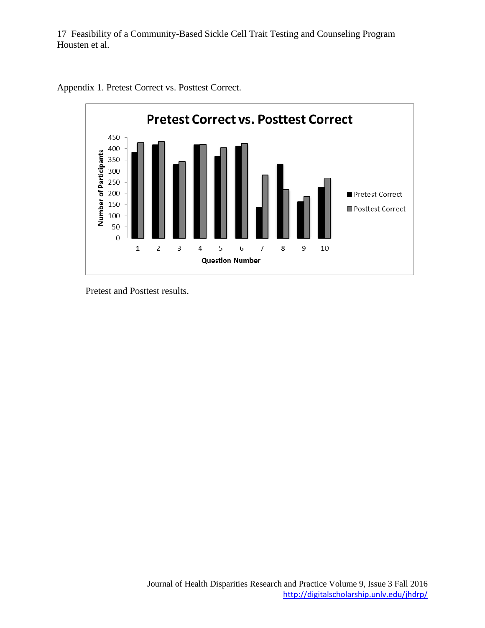

Appendix 1. Pretest Correct vs. Posttest Correct.

Pretest and Posttest results.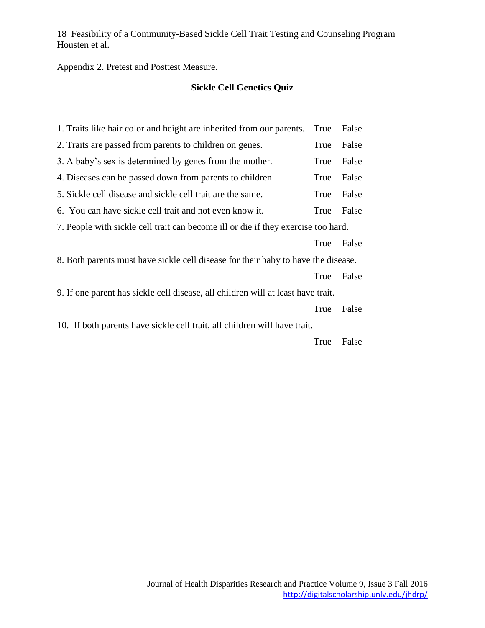Appendix 2. Pretest and Posttest Measure.

#### **Sickle Cell Genetics Quiz**

| True                                                                              | False                                                                             |  |  |
|-----------------------------------------------------------------------------------|-----------------------------------------------------------------------------------|--|--|
| True                                                                              | False                                                                             |  |  |
| True                                                                              | False                                                                             |  |  |
| True                                                                              | False                                                                             |  |  |
| True                                                                              | False                                                                             |  |  |
| True                                                                              | False                                                                             |  |  |
| 7. People with sickle cell trait can become ill or die if they exercise too hard. |                                                                                   |  |  |
| True                                                                              | False                                                                             |  |  |
|                                                                                   |                                                                                   |  |  |
| True                                                                              | False                                                                             |  |  |
| 9. If one parent has sickle cell disease, all children will at least have trait.  |                                                                                   |  |  |
|                                                                                   |                                                                                   |  |  |
| True                                                                              | False                                                                             |  |  |
| 10. If both parents have sickle cell trait, all children will have trait.         |                                                                                   |  |  |
|                                                                                   | 8. Both parents must have sickle cell disease for their baby to have the disease. |  |  |